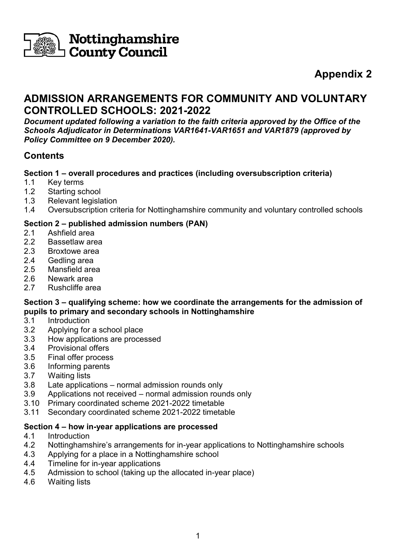

# **Nottinghamshire**<br>I County Council

# **Appendix 2**

# **ADMISSION ARRANGEMENTS FOR COMMUNITY AND VOLUNTARY CONTROLLED SCHOOLS: 2021-2022**

*Document updated following a variation to the faith criteria approved by the Office of the Schools Adjudicator in Determinations VAR1641-VAR1651 and VAR1879 (approved by Policy Committee on 9 December 2020).*

# **Contents**

## **Section 1 – overall procedures and practices (including oversubscription criteria)**

- 1.1 Key terms
- 1.2 Starting school
- 1.3 Relevant legislation
- 1.4 Oversubscription criteria for Nottinghamshire community and voluntary controlled schools

## **Section 2 – published admission numbers (PAN)**

- 2.1 Ashfield area
- 2.2 Bassetlaw area
- 2.3 Broxtowe area
- 2.4 Gedling area
- 2.5 Mansfield area
- 2.6 Newark area
- 2.7 Rushcliffe area

#### **Section 3 – qualifying scheme: how we coordinate the arrangements for the admission of pupils to primary and secondary schools in Nottinghamshire**

- 3.1 Introduction
- 3.2 Applying for a school place
- 3.3 How applications are processed
- 3.4 Provisional offers
- 3.5 Final offer process
- 3.6 Informing parents
- 3.7 Waiting lists
- 3.8 Late applications normal admission rounds only
- 3.9 Applications not received normal admission rounds only
- 3.10 Primary coordinated scheme 2021-2022 timetable
- 3.11 Secondary coordinated scheme 2021-2022 timetable

#### **Section 4 – how in-year applications are processed**

- 4.1 Introduction
- 4.2 Nottinghamshire's arrangements for in-year applications to Nottinghamshire schools
- 4.3 Applying for a place in a Nottinghamshire school
- 4.4 Timeline for in-year applications
- 4.5 Admission to school (taking up the allocated in-year place)
- 4.6 Waiting lists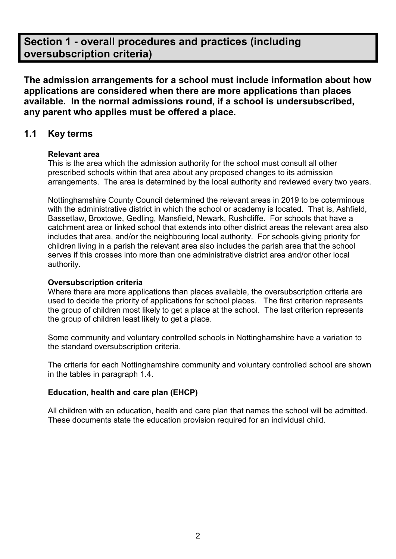# **Section 1 - overall procedures and practices (including oversubscription criteria)**

**The admission arrangements for a school must include information about how applications are considered when there are more applications than places available. In the normal admissions round, if a school is undersubscribed, any parent who applies must be offered a place.**

# **1.1 Key terms**

#### **Relevant area**

This is the area which the admission authority for the school must consult all other prescribed schools within that area about any proposed changes to its admission arrangements. The area is determined by the local authority and reviewed every two years.

Nottinghamshire County Council determined the relevant areas in 2019 to be coterminous with the administrative district in which the school or academy is located. That is, Ashfield, Bassetlaw, Broxtowe, Gedling, Mansfield, Newark, Rushcliffe. For schools that have a catchment area or linked school that extends into other district areas the relevant area also includes that area, and/or the neighbouring local authority. For schools giving priority for children living in a parish the relevant area also includes the parish area that the school serves if this crosses into more than one administrative district area and/or other local authority.

#### **Oversubscription criteria**

Where there are more applications than places available, the oversubscription criteria are used to decide the priority of applications for school places. The first criterion represents the group of children most likely to get a place at the school. The last criterion represents the group of children least likely to get a place.

Some community and voluntary controlled schools in Nottinghamshire have a variation to the standard oversubscription criteria.

The criteria for each Nottinghamshire community and voluntary controlled school are shown in the tables in paragraph 1.4.

#### **Education, health and care plan (EHCP)**

All children with an education, health and care plan that names the school will be admitted. These documents state the education provision required for an individual child.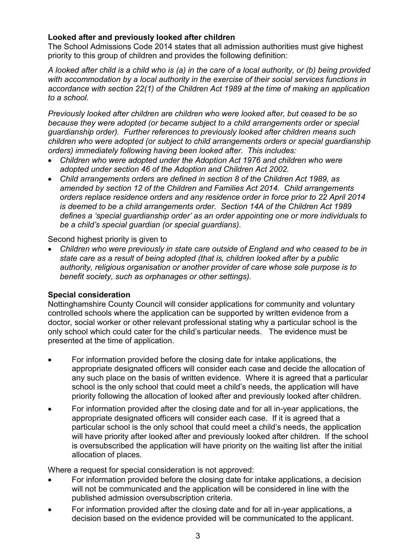#### **Looked after and previously looked after children**

The School Admissions Code 2014 states that all admission authorities must give highest priority to this group of children and provides the following definition:

*A looked after child is a child who is (a) in the care of a local authority, or (b) being provided with accommodation by a local authority in the exercise of their social services functions in accordance with section 22(1) of the Children Act 1989 at the time of making an application to a school.* 

*Previously looked after children are children who were looked after, but ceased to be so because they were adopted (or became subject to a child arrangements order or special guardianship order). Further references to previously looked after children means such children who were adopted (or subject to child arrangements orders or special guardianship orders) immediately following having been looked after. This includes:*

- *Children who were adopted under the Adoption Act 1976 and children who were adopted under section 46 of the Adoption and Children Act 2002.*
- *Child arrangements orders are defined in section 8 of the Children Act 1989, as amended by section 12 of the Children and Families Act 2014. Child arrangements orders replace residence orders and any residence order in force prior to 22 April 2014 is deemed to be a child arrangements order. Section 14A of the Children Act 1989 defines a 'special guardianship order' as an order appointing one or more individuals to be a child's special guardian (or special guardians).*

Second highest priority is given to

• *Children who were previously in state care outside of England and who ceased to be in state care as a result of being adopted (that is, children looked after by a public authority, religious organisation or another provider of care whose sole purpose is to benefit society, such as orphanages or other settings).*

#### **Special consideration**

Nottinghamshire County Council will consider applications for community and voluntary controlled schools where the application can be supported by written evidence from a doctor, social worker or other relevant professional stating why a particular school is the only school which could cater for the child's particular needs. The evidence must be presented at the time of application.

- For information provided before the closing date for intake applications, the appropriate designated officers will consider each case and decide the allocation of any such place on the basis of written evidence. Where it is agreed that a particular school is the only school that could meet a child's needs, the application will have priority following the allocation of looked after and previously looked after children.
- For information provided after the closing date and for all in-year applications, the appropriate designated officers will consider each case. If it is agreed that a particular school is the only school that could meet a child's needs, the application will have priority after looked after and previously looked after children. If the school is oversubscribed the application will have priority on the waiting list after the initial allocation of places.

Where a request for special consideration is not approved:

- For information provided before the closing date for intake applications, a decision will not be communicated and the application will be considered in line with the published admission oversubscription criteria.
- For information provided after the closing date and for all in-year applications, a decision based on the evidence provided will be communicated to the applicant.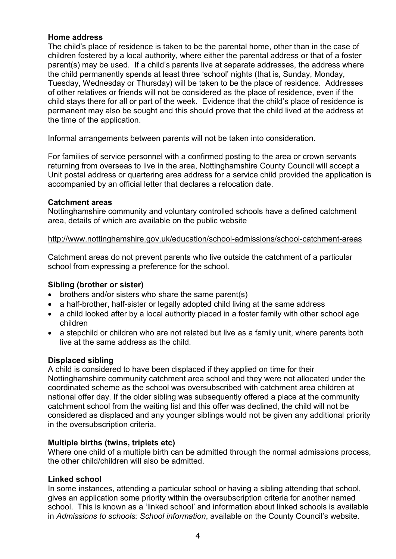#### **Home address**

The child's place of residence is taken to be the parental home, other than in the case of children fostered by a local authority, where either the parental address or that of a foster parent(s) may be used. If a child's parents live at separate addresses, the address where the child permanently spends at least three 'school' nights (that is, Sunday, Monday, Tuesday, Wednesday or Thursday) will be taken to be the place of residence. Addresses of other relatives or friends will not be considered as the place of residence, even if the child stays there for all or part of the week. Evidence that the child's place of residence is permanent may also be sought and this should prove that the child lived at the address at the time of the application.

Informal arrangements between parents will not be taken into consideration.

For families of service personnel with a confirmed posting to the area or crown servants returning from overseas to live in the area, Nottinghamshire County Council will accept a Unit postal address or quartering area address for a service child provided the application is accompanied by an official letter that declares a relocation date.

#### **Catchment areas**

Nottinghamshire community and voluntary controlled schools have a defined catchment area, details of which are available on the public website

#### <http://www.nottinghamshire.gov.uk/education/school-admissions/school-catchment-areas>

Catchment areas do not prevent parents who live outside the catchment of a particular school from expressing a preference for the school.

#### **Sibling (brother or sister)**

- brothers and/or sisters who share the same parent(s)
- a half-brother, half-sister or legally adopted child living at the same address
- a child looked after by a local authority placed in a foster family with other school age children
- a stepchild or children who are not related but live as a family unit, where parents both live at the same address as the child.

#### **Displaced sibling**

A child is considered to have been displaced if they applied on time for their Nottinghamshire community catchment area school and they were not allocated under the coordinated scheme as the school was oversubscribed with catchment area children at national offer day. If the older sibling was subsequently offered a place at the community catchment school from the waiting list and this offer was declined, the child will not be considered as displaced and any younger siblings would not be given any additional priority in the oversubscription criteria.

#### **Multiple births (twins, triplets etc)**

Where one child of a multiple birth can be admitted through the normal admissions process, the other child/children will also be admitted.

#### **Linked school**

In some instances, attending a particular school or having a sibling attending that school, gives an application some priority within the oversubscription criteria for another named school. This is known as a 'linked school' and information about linked schools is available in *Admissions to schools: School information*, available on the County Council's website.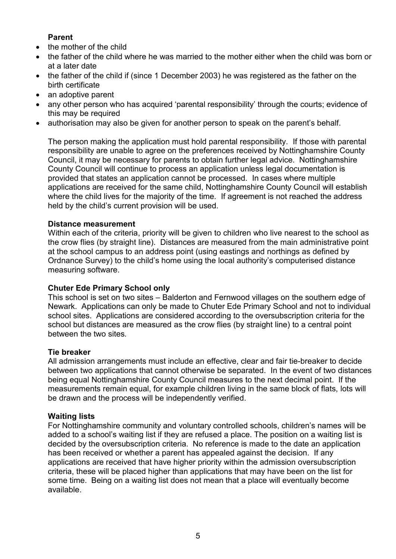#### **Parent**

- the mother of the child
- the father of the child where he was married to the mother either when the child was born or at a later date
- the father of the child if (since 1 December 2003) he was registered as the father on the birth certificate
- an adoptive parent
- any other person who has acquired 'parental responsibility' through the courts; evidence of this may be required
- authorisation may also be given for another person to speak on the parent's behalf.

The person making the application must hold parental responsibility. If those with parental responsibility are unable to agree on the preferences received by Nottinghamshire County Council, it may be necessary for parents to obtain further legal advice. Nottinghamshire County Council will continue to process an application unless legal documentation is provided that states an application cannot be processed. In cases where multiple applications are received for the same child, Nottinghamshire County Council will establish where the child lives for the majority of the time. If agreement is not reached the address held by the child's current provision will be used.

#### **Distance measurement**

Within each of the criteria, priority will be given to children who live nearest to the school as the crow flies (by straight line). Distances are measured from the main administrative point at the school campus to an address point (using eastings and northings as defined by Ordnance Survey) to the child's home using the local authority's computerised distance measuring software.

#### **Chuter Ede Primary School only**

This school is set on two sites – Balderton and Fernwood villages on the southern edge of Newark. Applications can only be made to Chuter Ede Primary School and not to individual school sites. Applications are considered according to the oversubscription criteria for the school but distances are measured as the crow flies (by straight line) to a central point between the two sites*.*

#### **Tie breaker**

All admission arrangements must include an effective, clear and fair tie-breaker to decide between two applications that cannot otherwise be separated. In the event of two distances being equal Nottinghamshire County Council measures to the next decimal point. If the measurements remain equal, for example children living in the same block of flats, lots will be drawn and the process will be independently verified.

#### **Waiting lists**

For Nottinghamshire community and voluntary controlled schools, children's names will be added to a school's waiting list if they are refused a place. The position on a waiting list is decided by the oversubscription criteria. No reference is made to the date an application has been received or whether a parent has appealed against the decision. If any applications are received that have higher priority within the admission oversubscription criteria, these will be placed higher than applications that may have been on the list for some time. Being on a waiting list does not mean that a place will eventually become available.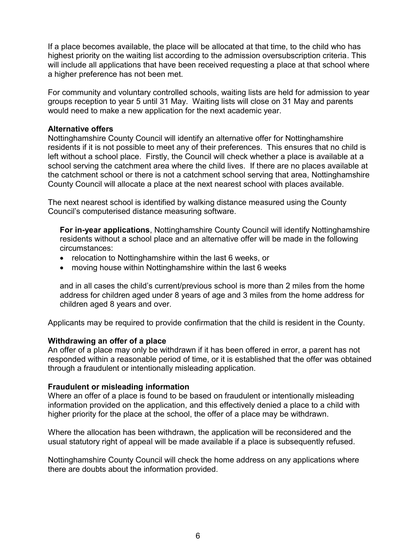If a place becomes available, the place will be allocated at that time, to the child who has highest priority on the waiting list according to the admission oversubscription criteria. This will include all applications that have been received requesting a place at that school where a higher preference has not been met.

For community and voluntary controlled schools, waiting lists are held for admission to year groups reception to year 5 until 31 May. Waiting lists will close on 31 May and parents would need to make a new application for the next academic year.

#### **Alternative offers**

Nottinghamshire County Council will identify an alternative offer for Nottinghamshire residents if it is not possible to meet any of their preferences. This ensures that no child is left without a school place. Firstly, the Council will check whether a place is available at a school serving the catchment area where the child lives. If there are no places available at the catchment school or there is not a catchment school serving that area, Nottinghamshire County Council will allocate a place at the next nearest school with places available.

The next nearest school is identified by walking distance measured using the County Council's computerised distance measuring software.

**For in-year applications**, Nottinghamshire County Council will identify Nottinghamshire residents without a school place and an alternative offer will be made in the following circumstances:

- relocation to Nottinghamshire within the last 6 weeks, or
- moving house within Nottinghamshire within the last 6 weeks

and in all cases the child's current/previous school is more than 2 miles from the home address for children aged under 8 years of age and 3 miles from the home address for children aged 8 years and over.

Applicants may be required to provide confirmation that the child is resident in the County.

#### **Withdrawing an offer of a place**

An offer of a place may only be withdrawn if it has been offered in error, a parent has not responded within a reasonable period of time, or it is established that the offer was obtained through a fraudulent or intentionally misleading application.

#### **Fraudulent or misleading information**

Where an offer of a place is found to be based on fraudulent or intentionally misleading information provided on the application, and this effectively denied a place to a child with higher priority for the place at the school, the offer of a place may be withdrawn.

Where the allocation has been withdrawn, the application will be reconsidered and the usual statutory right of appeal will be made available if a place is subsequently refused.

Nottinghamshire County Council will check the home address on any applications where there are doubts about the information provided.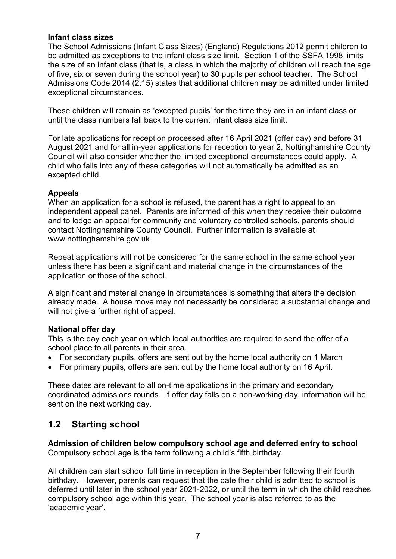#### **Infant class sizes**

The School Admissions (Infant Class Sizes) (England) Regulations 2012 permit children to be admitted as exceptions to the infant class size limit. Section 1 of the SSFA 1998 limits the size of an infant class (that is, a class in which the majority of children will reach the age of five, six or seven during the school year) to 30 pupils per school teacher. The School Admissions Code 2014 (2.15) states that additional children **may** be admitted under limited exceptional circumstances.

These children will remain as 'excepted pupils' for the time they are in an infant class or until the class numbers fall back to the current infant class size limit.

For late applications for reception processed after 16 April 2021 (offer day) and before 31 August 2021 and for all in-year applications for reception to year 2, Nottinghamshire County Council will also consider whether the limited exceptional circumstances could apply. A child who falls into any of these categories will not automatically be admitted as an excepted child.

#### **Appeals**

When an application for a school is refused, the parent has a right to appeal to an independent appeal panel. Parents are informed of this when they receive their outcome and to lodge an appeal for community and voluntary controlled schools, parents should contact Nottinghamshire County Council. Further information is available at [www.nottinghamshire.gov.uk](http://www.nottinghamshire.gov.uk/)

Repeat applications will not be considered for the same school in the same school year unless there has been a significant and material change in the circumstances of the application or those of the school.

A significant and material change in circumstances is something that alters the decision already made. A house move may not necessarily be considered a substantial change and will not give a further right of appeal.

#### **National offer day**

This is the day each year on which local authorities are required to send the offer of a school place to all parents in their area.

- For secondary pupils, offers are sent out by the home local authority on 1 March
- For primary pupils, offers are sent out by the home local authority on 16 April.

These dates are relevant to all on-time applications in the primary and secondary coordinated admissions rounds. If offer day falls on a non-working day, information will be sent on the next working day.

## **1.2 Starting school**

**Admission of children below compulsory school age and deferred entry to school** Compulsory school age is the term following a child's fifth birthday.

All children can start school full time in reception in the September following their fourth birthday. However, parents can request that the date their child is admitted to school is deferred until later in the school year 2021-2022, or until the term in which the child reaches compulsory school age within this year. The school year is also referred to as the 'academic year'.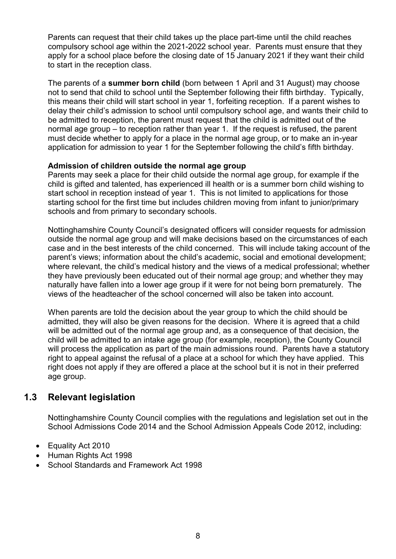Parents can request that their child takes up the place part-time until the child reaches compulsory school age within the 2021-2022 school year. Parents must ensure that they apply for a school place before the closing date of 15 January 2021 if they want their child to start in the reception class.

The parents of a **summer born child** (born between 1 April and 31 August) may choose not to send that child to school until the September following their fifth birthday. Typically, this means their child will start school in year 1, forfeiting reception. If a parent wishes to delay their child's admission to school until compulsory school age, and wants their child to be admitted to reception, the parent must request that the child is admitted out of the normal age group – to reception rather than year 1. If the request is refused, the parent must decide whether to apply for a place in the normal age group, or to make an in-year application for admission to year 1 for the September following the child's fifth birthday.

#### **Admission of children outside the normal age group**

Parents may seek a place for their child outside the normal age group, for example if the child is gifted and talented, has experienced ill health or is a summer born child wishing to start school in reception instead of year 1. This is not limited to applications for those starting school for the first time but includes children moving from infant to junior/primary schools and from primary to secondary schools.

Nottinghamshire County Council's designated officers will consider requests for admission outside the normal age group and will make decisions based on the circumstances of each case and in the best interests of the child concerned. This will include taking account of the parent's views; information about the child's academic, social and emotional development; where relevant, the child's medical history and the views of a medical professional; whether they have previously been educated out of their normal age group; and whether they may naturally have fallen into a lower age group if it were for not being born prematurely. The views of the headteacher of the school concerned will also be taken into account.

When parents are told the decision about the year group to which the child should be admitted, they will also be given reasons for the decision. Where it is agreed that a child will be admitted out of the normal age group and, as a consequence of that decision, the child will be admitted to an intake age group (for example, reception), the County Council will process the application as part of the main admissions round. Parents have a statutory right to appeal against the refusal of a place at a school for which they have applied. This right does not apply if they are offered a place at the school but it is not in their preferred age group.

## **1.3 Relevant legislation**

Nottinghamshire County Council complies with the regulations and legislation set out in the School Admissions Code 2014 and the School Admission Appeals Code 2012, including:

- Equality Act 2010
- Human Rights Act 1998
- School Standards and Framework Act 1998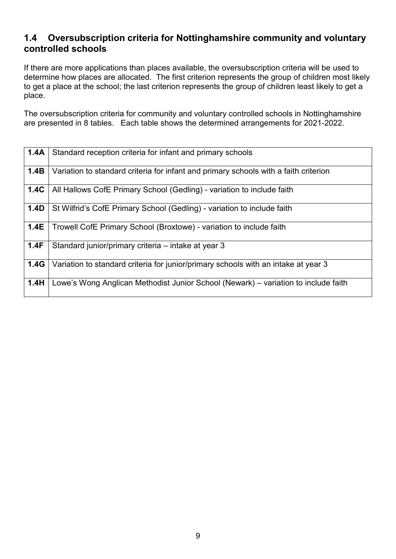# **1.4 Oversubscription criteria for Nottinghamshire community and voluntary controlled schools**

If there are more applications than places available, the oversubscription criteria will be used to determine how places are allocated. The first criterion represents the group of children most likely to get a place at the school; the last criterion represents the group of children least likely to get a place.

The oversubscription criteria for community and voluntary controlled schools in Nottinghamshire are presented in 8 tables. Each table shows the determined arrangements for 2021-2022.

| 1.4A | Standard reception criteria for infant and primary schools                           |
|------|--------------------------------------------------------------------------------------|
| 1.4B | Variation to standard criteria for infant and primary schools with a faith criterion |
| 1.4C | All Hallows CofE Primary School (Gedling) - variation to include faith               |
| 1.4D | St Wilfrid's CofE Primary School (Gedling) - variation to include faith              |
| 1.4E | Trowell CofE Primary School (Broxtowe) - variation to include faith                  |
| 1.4F | Standard junior/primary criteria - intake at year 3                                  |
| 1.4G | Variation to standard criteria for junior/primary schools with an intake at year 3   |
| 1.4H | Lowe's Wong Anglican Methodist Junior School (Newark) - variation to include faith   |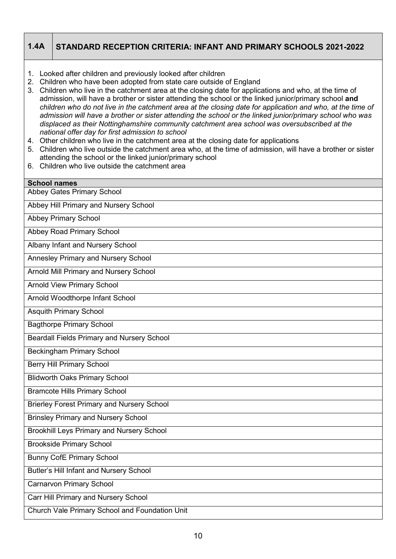# **1.4A STANDARD RECEPTION CRITERIA: INFANT AND PRIMARY SCHOOLS 2021-2022**

- 1. Looked after children and previously looked after children
- 2. Children who have been adopted from state care outside of England
- 3. Children who live in the catchment area at the closing date for applications and who, at the time of admission, will have a brother or sister attending the school or the linked junior/primary school **and**  *children who do not live in the catchment area at the closing date for application and who, at the time of admission will have a brother or sister attending the school or the linked junior/primary school who was displaced as their Nottinghamshire community catchment area school was oversubscribed at the national offer day for first admission to school*
- 4. Other children who live in the catchment area at the closing date for applications
- 5. Children who live outside the catchment area who, at the time of admission, will have a brother or sister attending the school or the linked junior/primary school
- 6. Children who live outside the catchment area

| <b>School names</b>                               |
|---------------------------------------------------|
| <b>Abbey Gates Primary School</b>                 |
| Abbey Hill Primary and Nursery School             |
| <b>Abbey Primary School</b>                       |
| <b>Abbey Road Primary School</b>                  |
| Albany Infant and Nursery School                  |
| <b>Annesley Primary and Nursery School</b>        |
| <b>Arnold Mill Primary and Nursery School</b>     |
| <b>Arnold View Primary School</b>                 |
| Arnold Woodthorpe Infant School                   |
| <b>Asquith Primary School</b>                     |
| <b>Bagthorpe Primary School</b>                   |
| <b>Beardall Fields Primary and Nursery School</b> |
| <b>Beckingham Primary School</b>                  |
| <b>Berry Hill Primary School</b>                  |
| <b>Blidworth Oaks Primary School</b>              |
| <b>Bramcote Hills Primary School</b>              |
| <b>Brierley Forest Primary and Nursery School</b> |
| <b>Brinsley Primary and Nursery School</b>        |
| <b>Brookhill Leys Primary and Nursery School</b>  |
| <b>Brookside Primary School</b>                   |
| <b>Bunny CofE Primary School</b>                  |
| <b>Butler's Hill Infant and Nursery School</b>    |
| <b>Carnarvon Primary School</b>                   |
| Carr Hill Primary and Nursery School              |
| Church Vale Primary School and Foundation Unit    |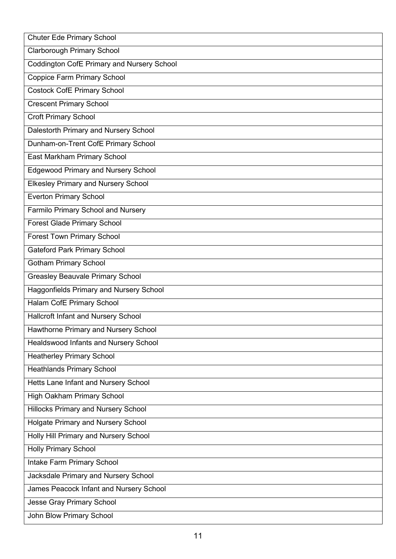| <b>Chuter Ede Primary School</b>               |
|------------------------------------------------|
| <b>Clarborough Primary School</b>              |
| Coddington CofE Primary and Nursery School     |
| Coppice Farm Primary School                    |
| <b>Costock CofE Primary School</b>             |
| <b>Crescent Primary School</b>                 |
| <b>Croft Primary School</b>                    |
| Dalestorth Primary and Nursery School          |
| Dunham-on-Trent CofE Primary School            |
| East Markham Primary School                    |
| <b>Edgewood Primary and Nursery School</b>     |
| <b>Elkesley Primary and Nursery School</b>     |
| <b>Everton Primary School</b>                  |
| Farmilo Primary School and Nursery             |
| <b>Forest Glade Primary School</b>             |
| <b>Forest Town Primary School</b>              |
| <b>Gateford Park Primary School</b>            |
| <b>Gotham Primary School</b>                   |
| <b>Greasley Beauvale Primary School</b>        |
| <b>Haggonfields Primary and Nursery School</b> |
| Halam CofE Primary School                      |
| Hallcroft Infant and Nursery School            |
| Hawthorne Primary and Nursery School           |
| Healdswood Infants and Nursery School          |
| <b>Heatherley Primary School</b>               |
| <b>Heathlands Primary School</b>               |
| Hetts Lane Infant and Nursery School           |
| <b>High Oakham Primary School</b>              |
| <b>Hillocks Primary and Nursery School</b>     |
| Holgate Primary and Nursery School             |
| <b>Holly Hill Primary and Nursery School</b>   |
| <b>Holly Primary School</b>                    |
| Intake Farm Primary School                     |
| Jacksdale Primary and Nursery School           |
| James Peacock Infant and Nursery School        |
| <b>Jesse Gray Primary School</b>               |
| John Blow Primary School                       |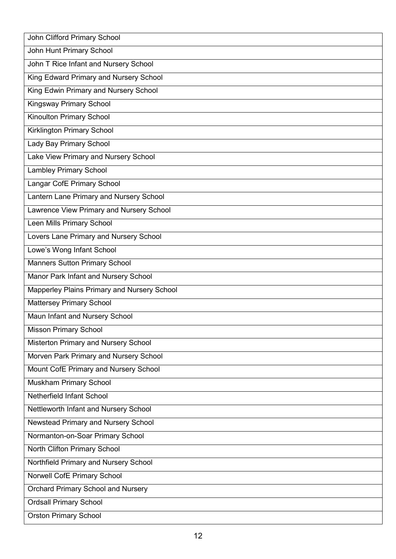| John Clifford Primary School                |
|---------------------------------------------|
| John Hunt Primary School                    |
| John T Rice Infant and Nursery School       |
| King Edward Primary and Nursery School      |
| King Edwin Primary and Nursery School       |
| <b>Kingsway Primary School</b>              |
| Kinoulton Primary School                    |
| Kirklington Primary School                  |
| Lady Bay Primary School                     |
| Lake View Primary and Nursery School        |
| <b>Lambley Primary School</b>               |
| Langar CofE Primary School                  |
| Lantern Lane Primary and Nursery School     |
| Lawrence View Primary and Nursery School    |
| Leen Mills Primary School                   |
| Lovers Lane Primary and Nursery School      |
| Lowe's Wong Infant School                   |
| <b>Manners Sutton Primary School</b>        |
| Manor Park Infant and Nursery School        |
| Mapperley Plains Primary and Nursery School |
| <b>Mattersey Primary School</b>             |
| Maun Infant and Nursery School              |
| <b>Misson Primary School</b>                |
| Misterton Primary and Nursery School        |
| Morven Park Primary and Nursery School      |
| Mount CofE Primary and Nursery School       |
| Muskham Primary School                      |
| Netherfield Infant School                   |
| Nettleworth Infant and Nursery School       |
| Newstead Primary and Nursery School         |
| Normanton-on-Soar Primary School            |
| North Clifton Primary School                |
| Northfield Primary and Nursery School       |
| Norwell CofE Primary School                 |
| <b>Orchard Primary School and Nursery</b>   |
| <b>Ordsall Primary School</b>               |
| <b>Orston Primary School</b>                |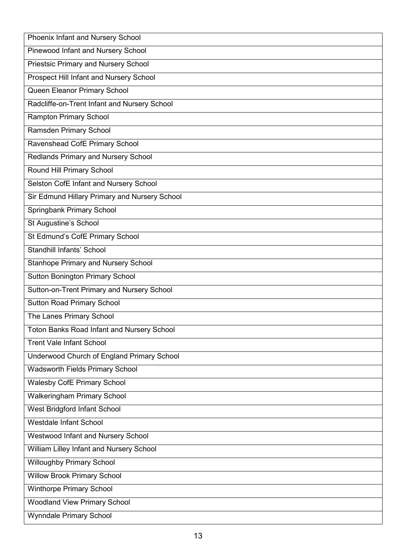| Phoenix Infant and Nursery School              |
|------------------------------------------------|
| Pinewood Infant and Nursery School             |
| <b>Priestsic Primary and Nursery School</b>    |
| <b>Prospect Hill Infant and Nursery School</b> |
| Queen Eleanor Primary School                   |
| Radcliffe-on-Trent Infant and Nursery School   |
| <b>Rampton Primary School</b>                  |
| Ramsden Primary School                         |
| Ravenshead CofE Primary School                 |
| Redlands Primary and Nursery School            |
| Round Hill Primary School                      |
| Selston CofE Infant and Nursery School         |
| Sir Edmund Hillary Primary and Nursery School  |
| Springbank Primary School                      |
| St Augustine's School                          |
| St Edmund's CofE Primary School                |
| <b>Standhill Infants' School</b>               |
| <b>Stanhope Primary and Nursery School</b>     |
| <b>Sutton Bonington Primary School</b>         |
| Sutton-on-Trent Primary and Nursery School     |
| <b>Sutton Road Primary School</b>              |
| The Lanes Primary School                       |
| Toton Banks Road Infant and Nursery School     |
| <b>Trent Vale Infant School</b>                |
| Underwood Church of England Primary School     |
| Wadsworth Fields Primary School                |
| <b>Walesby CofE Primary School</b>             |
| <b>Walkeringham Primary School</b>             |
| West Bridgford Infant School                   |
| <b>Westdale Infant School</b>                  |
| Westwood Infant and Nursery School             |
| William Lilley Infant and Nursery School       |
| <b>Willoughby Primary School</b>               |
| <b>Willow Brook Primary School</b>             |
| <b>Winthorpe Primary School</b>                |
| <b>Woodland View Primary School</b>            |
| <b>Wynndale Primary School</b>                 |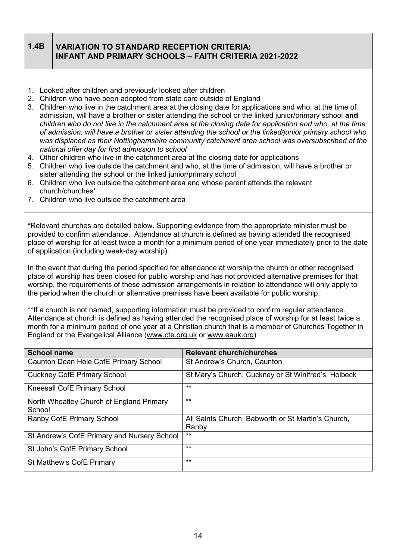#### **1.4B VARIATION TO STANDARD RECEPTION CRITERIA: INFANT AND PRIMARY SCHOOLS – FAITH CRITERIA 2021-2022**

- 1. Looked after children and previously looked after children
- 2. Children who have been adopted from state care outside of England
- 3. Children who live in the catchment area at the closing date for applications and who, at the time of admission, will have a brother or sister attending the school or the linked junior/primary school **and**  *children who do not live in the catchment area at the closing date for application and who, at the time of admission, will have a brother or sister attending the school or the linked/junior primary school who was displaced as their Nottinghamshire community catchment area school was oversubscribed at the national offer day for first admission to school*
- 4. Other children who live in the catchment area at the closing date for applications
- 5. Children who live outside the catchment and who, at the time of admission, will have a brother or sister attending the school or the linked junior/primary school
- 6. Children who live outside the catchment area and whose parent attends the relevant church/churches\*
- 7. Children who live outside the catchment area

\*Relevant churches are detailed below. Supporting evidence from the appropriate minister must be provided to confirm attendance. Attendance at church is defined as having attended the recognised place of worship for at least twice a month for a minimum period of one year immediately prior to the date of application (including week-day worship).

In the event that during the period specified for attendance at worship the church or other recognised place of worship has been closed for public worship and has not provided alternative premises for that worship, the requirements of these admission arrangements in relation to attendance will only apply to the period when the church or alternative premises have been available for public worship.

\*\*If a church is not named, supporting information must be provided to confirm regular attendance. Attendance at church is defined as having attended the recognised place of worship for at least twice a month for a minimum period of one year at a Christian church that is a member of Churches Together in England or the Evangelical Alliance [\(www.cte.org.uk](http://www.cte.org.uk/) or [www.eauk.org\)](http://www.eauk.org/)

| <b>School name</b>                                 | <b>Relevant church/churches</b>                     |
|----------------------------------------------------|-----------------------------------------------------|
| Caunton Dean Hole CofE Primary School              | St Andrew's Church, Caunton                         |
| <b>Cuckney CofE Primary School</b>                 | St Mary's Church, Cuckney or St Winifred's, Holbeck |
| <b>Kneesall CofE Primary School</b>                | $***$                                               |
| North Wheatley Church of England Primary<br>School | $***$                                               |
| Ranby CofE Primary School                          | All Saints Church, Babworth or St Martin's Church,  |
|                                                    | Ranby                                               |
| St Andrew's CofE Primary and Nursery School        | $***$                                               |
| St John's CofE Primary School                      | $***$                                               |
| St Matthew's CofE Primary                          | $***$                                               |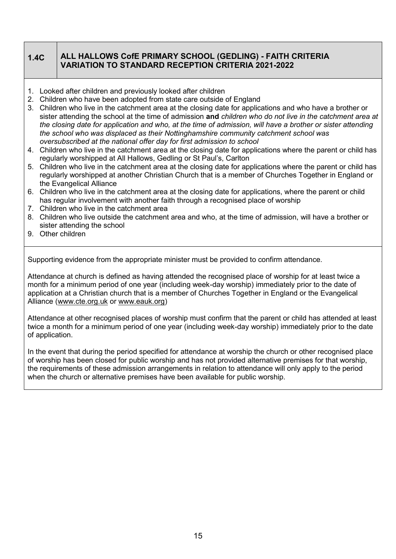## **1.4C ALL HALLOWS CofE PRIMARY SCHOOL (GEDLING) - FAITH CRITERIA VARIATION TO STANDARD RECEPTION CRITERIA 2021-2022**

- 1. Looked after children and previously looked after children
- 2. Children who have been adopted from state care outside of England
- 3. Children who live in the catchment area at the closing date for applications and who have a brother or sister attending the school at the time of admission **and** *children who do not live in the catchment area at the closing date for application and who, at the time of admission, will have a brother or sister attending the school who was displaced as their Nottinghamshire community catchment school was oversubscribed at the national offer day for first admission to school*
- 4. Children who live in the catchment area at the closing date for applications where the parent or child has regularly worshipped at All Hallows, Gedling or St Paul's, Carlton
- 5. Children who live in the catchment area at the closing date for applications where the parent or child has regularly worshipped at another Christian Church that is a member of Churches Together in England or the Evangelical Alliance
- 6. Children who live in the catchment area at the closing date for applications, where the parent or child has regular involvement with another faith through a recognised place of worship
- 7. Children who live in the catchment area
- 8. Children who live outside the catchment area and who, at the time of admission, will have a brother or sister attending the school
- 9. Other children

Supporting evidence from the appropriate minister must be provided to confirm attendance.

Attendance at church is defined as having attended the recognised place of worship for at least twice a month for a minimum period of one year (including week-day worship) immediately prior to the date of application at a Christian church that is a member of Churches Together in England or the Evangelical Alliance [\(www.cte.org.uk](http://www.cte.org.uk/) or [www.eauk.org\)](http://www.eauk.org/)

Attendance at other recognised places of worship must confirm that the parent or child has attended at least twice a month for a minimum period of one year (including week-day worship) immediately prior to the date of application.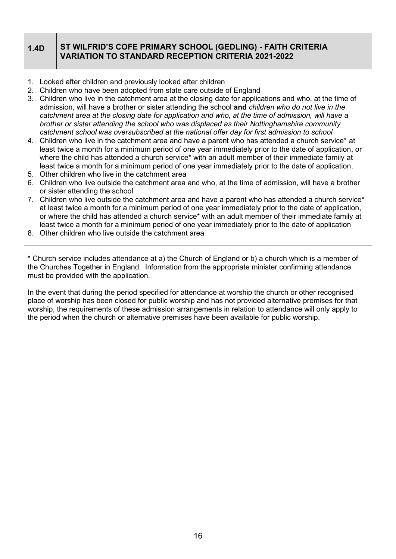## **1.4D ST WILFRID'S COFE PRIMARY SCHOOL (GEDLING) - FAITH CRITERIA VARIATION TO STANDARD RECEPTION CRITERIA 2021-2022**

- 1. Looked after children and previously looked after children
- 2. Children who have been adopted from state care outside of England
- 3. Children who live in the catchment area at the closing date for applications and who, at the time of admission, will have a brother or sister attending the school **and** *children who do not live in the catchment area at the closing date for application and who, at the time of admission, will have a brother or sister attending the school who was displaced as their Nottinghamshire community catchment school was oversubscribed at the national offer day for first admission to school*
- 4. Children who live in the catchment area and have a parent who has attended a church service\* at least twice a month for a minimum period of one year immediately prior to the date of application, or where the child has attended a church service<sup>\*</sup> with an adult member of their immediate family at least twice a month for a minimum period of one year immediately prior to the date of application.
- 5. Other children who live in the catchment area
- 6. Children who live outside the catchment area and who, at the time of admission, will have a brother or sister attending the school
- 7. Children who live outside the catchment area and have a parent who has attended a church service\* at least twice a month for a minimum period of one year immediately prior to the date of application, or where the child has attended a church service\* with an adult member of their immediate family at least twice a month for a minimum period of one year immediately prior to the date of application
- 8. Other children who live outside the catchment area

\* Church service includes attendance at a) the Church of England or b) a church which is a member of the Churches Together in England. Information from the appropriate minister confirming attendance must be provided with the application.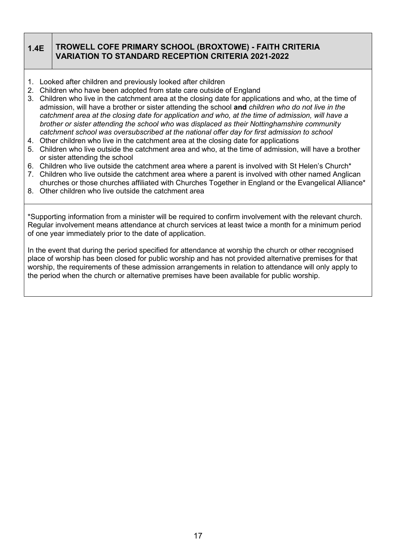#### **1.4E TROWELL COFE PRIMARY SCHOOL (BROXTOWE) - FAITH CRITERIA VARIATION TO STANDARD RECEPTION CRITERIA 2021-2022**

- 1. Looked after children and previously looked after children
- 2. Children who have been adopted from state care outside of England
- 3. Children who live in the catchment area at the closing date for applications and who, at the time of admission, will have a brother or sister attending the school **and** *children who do not live in the catchment area at the closing date for application and who, at the time of admission, will have a brother or sister attending the school who was displaced as their Nottinghamshire community catchment school was oversubscribed at the national offer day for first admission to school*
- 4. Other children who live in the catchment area at the closing date for applications
- 5. Children who live outside the catchment area and who, at the time of admission, will have a brother or sister attending the school
- 6. Children who live outside the catchment area where a parent is involved with St Helen's Church\*
- 7. Children who live outside the catchment area where a parent is involved with other named Anglican churches or those churches affiliated with Churches Together in England or the Evangelical Alliance\*
- 8. Other children who live outside the catchment area

\*Supporting information from a minister will be required to confirm involvement with the relevant church. Regular involvement means attendance at church services at least twice a month for a minimum period of one year immediately prior to the date of application.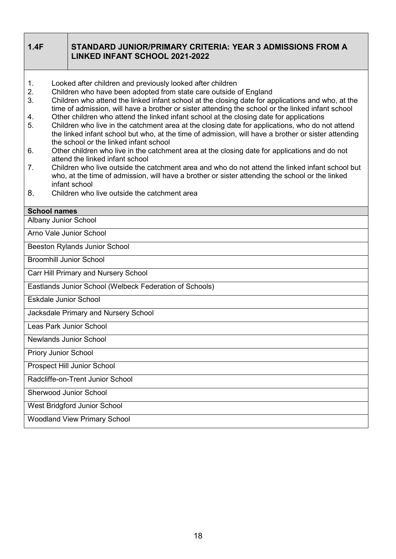#### **1.4F STANDARD JUNIOR/PRIMARY CRITERIA: YEAR 3 ADMISSIONS FROM A LINKED INFANT SCHOOL 2021-2022**

- 1. Looked after children and previously looked after children
- 2. Children who have been adopted from state care outside of England
- 3. Children who attend the linked infant school at the closing date for applications and who, at the time of admission, will have a brother or sister attending the school or the linked infant school
- 4. Other children who attend the linked infant school at the closing date for applications
- 5. Children who live in the catchment area at the closing date for applications, who do not attend the linked infant school but who, at the time of admission, will have a brother or sister attending the school or the linked infant school
- 6. Other children who live in the catchment area at the closing date for applications and do not attend the linked infant school
- 7. Children who live outside the catchment area and who do not attend the linked infant school but who, at the time of admission, will have a brother or sister attending the school or the linked infant school
- 8. Children who live outside the catchment area

#### **School names**

Albany Junior School

Arno Vale Junior School

Beeston Rylands Junior School

Broomhill Junior School

Carr Hill Primary and Nursery School

Eastlands Junior School (Welbeck Federation of Schools)

Eskdale Junior School

Jacksdale Primary and Nursery School

Leas Park Junior School

Newlands Junior School

Priory Junior School

Prospect Hill Junior School

Radcliffe-on-Trent Junior School

Sherwood Junior School

West Bridgford Junior School

Woodland View Primary School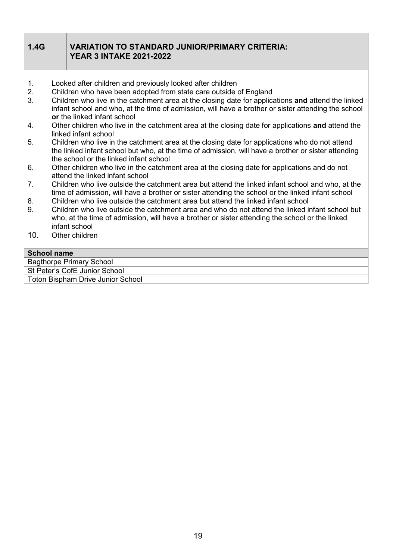| 1.4G               | <b>VARIATION TO STANDARD JUNIOR/PRIMARY CRITERIA:</b><br><b>YEAR 3 INTAKE 2021-2022</b>                                                                                                                                                         |
|--------------------|-------------------------------------------------------------------------------------------------------------------------------------------------------------------------------------------------------------------------------------------------|
| 1.                 | Looked after children and previously looked after children                                                                                                                                                                                      |
| 2.                 | Children who have been adopted from state care outside of England                                                                                                                                                                               |
| 3.                 | Children who live in the catchment area at the closing date for applications and attend the linked<br>infant school and who, at the time of admission, will have a brother or sister attending the school<br>or the linked infant school        |
| 4.                 | Other children who live in the catchment area at the closing date for applications and attend the<br>linked infant school                                                                                                                       |
| 5.                 | Children who live in the catchment area at the closing date for applications who do not attend<br>the linked infant school but who, at the time of admission, will have a brother or sister attending<br>the school or the linked infant school |
| 6.                 | Other children who live in the catchment area at the closing date for applications and do not<br>attend the linked infant school                                                                                                                |
| 7.                 | Children who live outside the catchment area but attend the linked infant school and who, at the<br>time of admission, will have a brother or sister attending the school or the linked infant school                                           |
| 8.                 | Children who live outside the catchment area but attend the linked infant school                                                                                                                                                                |
| 9.                 | Children who live outside the catchment area and who do not attend the linked infant school but<br>who, at the time of admission, will have a brother or sister attending the school or the linked<br>infant school                             |
| 10 <sub>1</sub>    | Other children                                                                                                                                                                                                                                  |
| <b>School name</b> |                                                                                                                                                                                                                                                 |
|                    | <b>Bagthorpe Primary School</b>                                                                                                                                                                                                                 |

St Peter's CofE Junior School

Toton Bispham Drive Junior School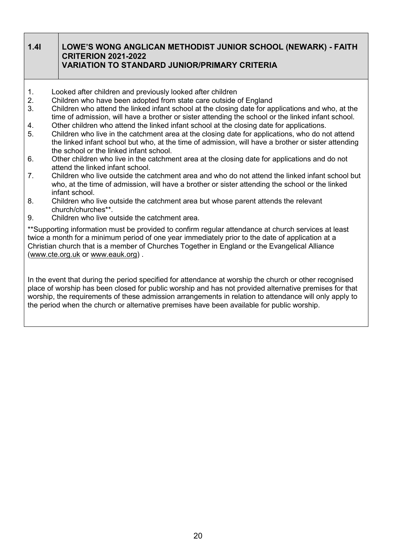#### **1.4I LOWE'S WONG ANGLICAN METHODIST JUNIOR SCHOOL (NEWARK) - FAITH CRITERION 2021-2022 VARIATION TO STANDARD JUNIOR/PRIMARY CRITERIA**

- 1. Looked after children and previously looked after children
- 2. Children who have been adopted from state care outside of England
- 3. Children who attend the linked infant school at the closing date for applications and who, at the time of admission, will have a brother or sister attending the school or the linked infant school.
- 4. Other children who attend the linked infant school at the closing date for applications.
- 5. Children who live in the catchment area at the closing date for applications, who do not attend the linked infant school but who, at the time of admission, will have a brother or sister attending the school or the linked infant school.
- 6. Other children who live in the catchment area at the closing date for applications and do not attend the linked infant school.
- 7. Children who live outside the catchment area and who do not attend the linked infant school but who, at the time of admission, will have a brother or sister attending the school or the linked infant school.
- 8. Children who live outside the catchment area but whose parent attends the relevant church/churches\*\*.
- 9. Children who live outside the catchment area.

\*\*Supporting information must be provided to confirm regular attendance at church services at least twice a month for a minimum period of one year immediately prior to the date of application at a Christian church that is a member of Churches Together in England or the Evangelical Alliance [\(www.cte.org.uk](http://www.cte.org.uk/) or [www.eauk.org\)](http://www.eauk.org/) .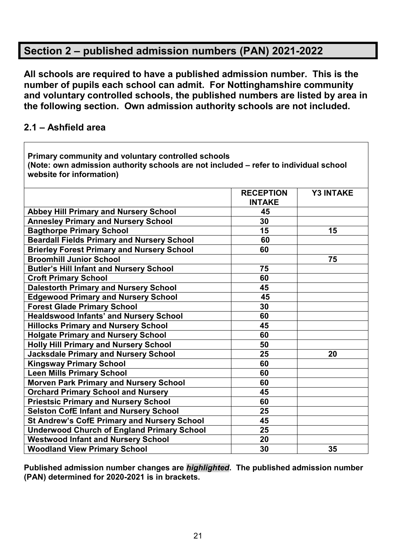# **Section 2 – published admission numbers (PAN) 2021-2022**

**All schools are required to have a published admission number. This is the number of pupils each school can admit. For Nottinghamshire community and voluntary controlled schools, the published numbers are listed by area in the following section. Own admission authority schools are not included.**

# **2.1 – Ashfield area**

| Primary community and voluntary controlled schools<br>(Note: own admission authority schools are not included - refer to individual school<br>website for information) |                                   |                  |  |
|------------------------------------------------------------------------------------------------------------------------------------------------------------------------|-----------------------------------|------------------|--|
|                                                                                                                                                                        | <b>RECEPTION</b><br><b>INTAKE</b> | <b>Y3 INTAKE</b> |  |
| <b>Abbey Hill Primary and Nursery School</b>                                                                                                                           | 45                                |                  |  |
| <b>Annesley Primary and Nursery School</b>                                                                                                                             | 30                                |                  |  |
| <b>Bagthorpe Primary School</b>                                                                                                                                        | 15                                | 15               |  |
| <b>Beardall Fields Primary and Nursery School</b>                                                                                                                      | 60                                |                  |  |
| <b>Brierley Forest Primary and Nursery School</b>                                                                                                                      | 60                                |                  |  |
| <b>Broomhill Junior School</b>                                                                                                                                         |                                   | 75               |  |
| <b>Butler's Hill Infant and Nursery School</b>                                                                                                                         | 75                                |                  |  |
| <b>Croft Primary School</b>                                                                                                                                            | 60                                |                  |  |
| <b>Dalestorth Primary and Nursery School</b>                                                                                                                           | 45                                |                  |  |
| <b>Edgewood Primary and Nursery School</b>                                                                                                                             | 45                                |                  |  |
| <b>Forest Glade Primary School</b>                                                                                                                                     | 30                                |                  |  |
| <b>Healdswood Infants' and Nursery School</b>                                                                                                                          | 60                                |                  |  |
| <b>Hillocks Primary and Nursery School</b>                                                                                                                             | 45                                |                  |  |
| <b>Holgate Primary and Nursery School</b>                                                                                                                              | 60                                |                  |  |
| <b>Holly Hill Primary and Nursery School</b>                                                                                                                           | 50                                |                  |  |
| <b>Jacksdale Primary and Nursery School</b>                                                                                                                            | 25                                | 20               |  |
| <b>Kingsway Primary School</b>                                                                                                                                         | 60                                |                  |  |
| <b>Leen Mills Primary School</b>                                                                                                                                       | 60                                |                  |  |
| <b>Morven Park Primary and Nursery School</b>                                                                                                                          | 60                                |                  |  |
| <b>Orchard Primary School and Nursery</b>                                                                                                                              | 45                                |                  |  |
| <b>Priestsic Primary and Nursery School</b>                                                                                                                            | 60                                |                  |  |
| <b>Selston CofE Infant and Nursery School</b>                                                                                                                          | 25                                |                  |  |
| <b>St Andrew's CofE Primary and Nursery School</b>                                                                                                                     | 45                                |                  |  |
| <b>Underwood Church of England Primary School</b>                                                                                                                      | 25                                |                  |  |
| <b>Westwood Infant and Nursery School</b>                                                                                                                              | 20                                |                  |  |
| <b>Woodland View Primary School</b>                                                                                                                                    | 30                                | 35               |  |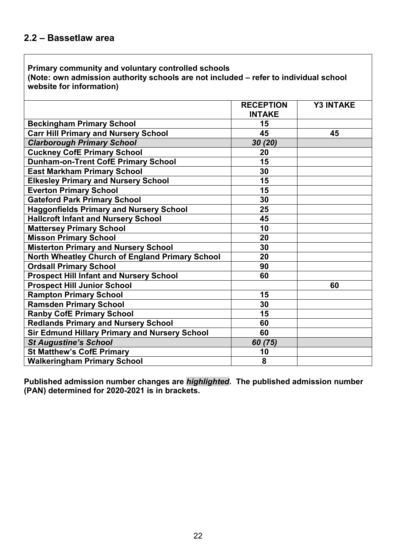**Primary community and voluntary controlled schools (Note: own admission authority schools are not included – refer to individual school website for information)**

|                                                 | <b>RECEPTION</b> | <b>Y3 INTAKE</b> |
|-------------------------------------------------|------------------|------------------|
|                                                 | <b>INTAKE</b>    |                  |
| <b>Beckingham Primary School</b>                | 15               |                  |
| <b>Carr Hill Primary and Nursery School</b>     | 45               | 45               |
| <b>Clarborough Primary School</b>               | 30 (20)          |                  |
| <b>Cuckney CofE Primary School</b>              | 20               |                  |
| <b>Dunham-on-Trent CofE Primary School</b>      | 15               |                  |
| <b>East Markham Primary School</b>              | 30               |                  |
| <b>Elkesley Primary and Nursery School</b>      | 15               |                  |
| <b>Everton Primary School</b>                   | 15               |                  |
| <b>Gateford Park Primary School</b>             | 30               |                  |
| <b>Haggonfields Primary and Nursery School</b>  | 25               |                  |
| <b>Hallcroft Infant and Nursery School</b>      | 45               |                  |
| <b>Mattersey Primary School</b>                 | 10               |                  |
| <b>Misson Primary School</b>                    | 20               |                  |
| <b>Misterton Primary and Nursery School</b>     | 30               |                  |
| North Wheatley Church of England Primary School | 20               |                  |
| <b>Ordsall Primary School</b>                   | 90               |                  |
| <b>Prospect Hill Infant and Nursery School</b>  | 60               |                  |
| <b>Prospect Hill Junior School</b>              |                  | 60               |
| <b>Rampton Primary School</b>                   | 15               |                  |
| <b>Ramsden Primary School</b>                   | 30               |                  |
| <b>Ranby CofE Primary School</b>                | 15               |                  |
| <b>Redlands Primary and Nursery School</b>      | 60               |                  |
| Sir Edmund Hillary Primary and Nursery School   | 60               |                  |
| <b>St Augustine's School</b>                    | 60 (75)          |                  |
| <b>St Matthew's CofE Primary</b>                | 10               |                  |
| <b>Walkeringham Primary School</b>              | 8                |                  |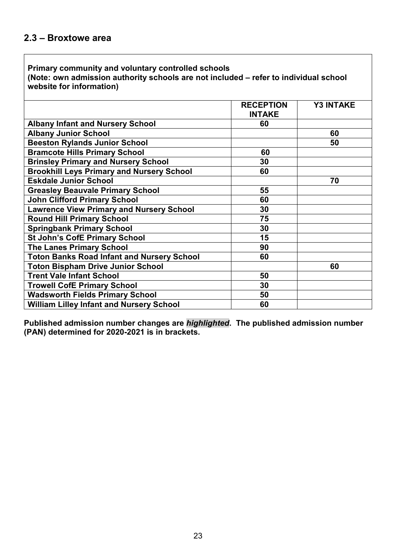**(Note: own admission authority schools are not included – refer to individual school website for information)**

|                                                   | <b>RECEPTION</b><br><b>INTAKE</b> | <b>Y3 INTAKE</b> |
|---------------------------------------------------|-----------------------------------|------------------|
|                                                   |                                   |                  |
| <b>Albany Infant and Nursery School</b>           | 60                                |                  |
| <b>Albany Junior School</b>                       |                                   | 60               |
| <b>Beeston Rylands Junior School</b>              |                                   | 50               |
| <b>Bramcote Hills Primary School</b>              | 60                                |                  |
| <b>Brinsley Primary and Nursery School</b>        | 30                                |                  |
| <b>Brookhill Leys Primary and Nursery School</b>  | 60                                |                  |
| <b>Eskdale Junior School</b>                      |                                   | 70               |
| <b>Greasley Beauvale Primary School</b>           | 55                                |                  |
| <b>John Clifford Primary School</b>               | 60                                |                  |
| <b>Lawrence View Primary and Nursery School</b>   | 30                                |                  |
| <b>Round Hill Primary School</b>                  | 75                                |                  |
| <b>Springbank Primary School</b>                  | 30                                |                  |
| <b>St John's CofE Primary School</b>              | 15                                |                  |
| <b>The Lanes Primary School</b>                   | 90                                |                  |
| <b>Toton Banks Road Infant and Nursery School</b> | 60                                |                  |
| <b>Toton Bispham Drive Junior School</b>          |                                   | 60               |
| <b>Trent Vale Infant School</b>                   | 50                                |                  |
| <b>Trowell CofE Primary School</b>                | 30                                |                  |
| <b>Wadsworth Fields Primary School</b>            | 50                                |                  |
| <b>William Lilley Infant and Nursery School</b>   | 60                                |                  |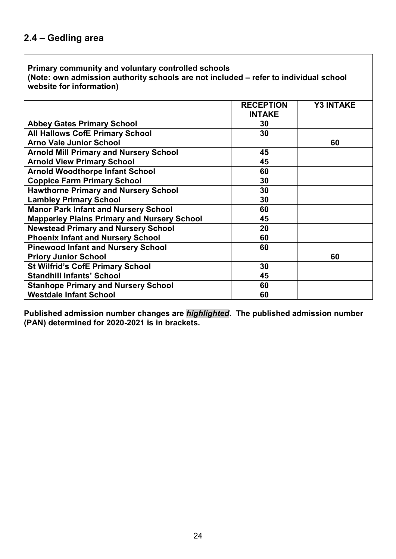**Primary community and voluntary controlled schools (Note: own admission authority schools are not included – refer to individual school website for information)**

|                                                    | <b>RECEPTION</b> | <b>Y3 INTAKE</b> |
|----------------------------------------------------|------------------|------------------|
|                                                    | <b>INTAKE</b>    |                  |
| <b>Abbey Gates Primary School</b>                  | 30               |                  |
| <b>All Hallows CofE Primary School</b>             | 30               |                  |
| <b>Arno Vale Junior School</b>                     |                  | 60               |
| <b>Arnold Mill Primary and Nursery School</b>      | 45               |                  |
| <b>Arnold View Primary School</b>                  | 45               |                  |
| <b>Arnold Woodthorpe Infant School</b>             | 60               |                  |
| <b>Coppice Farm Primary School</b>                 | 30               |                  |
| <b>Hawthorne Primary and Nursery School</b>        | 30               |                  |
| <b>Lambley Primary School</b>                      | 30               |                  |
| <b>Manor Park Infant and Nursery School</b>        | 60               |                  |
| <b>Mapperley Plains Primary and Nursery School</b> | 45               |                  |
| <b>Newstead Primary and Nursery School</b>         | 20               |                  |
| <b>Phoenix Infant and Nursery School</b>           | 60               |                  |
| <b>Pinewood Infant and Nursery School</b>          | 60               |                  |
| <b>Priory Junior School</b>                        |                  | 60               |
| <b>St Wilfrid's CofE Primary School</b>            | 30               |                  |
| <b>Standhill Infants' School</b>                   | 45               |                  |
| <b>Stanhope Primary and Nursery School</b>         | 60               |                  |
| <b>Westdale Infant School</b>                      | 60               |                  |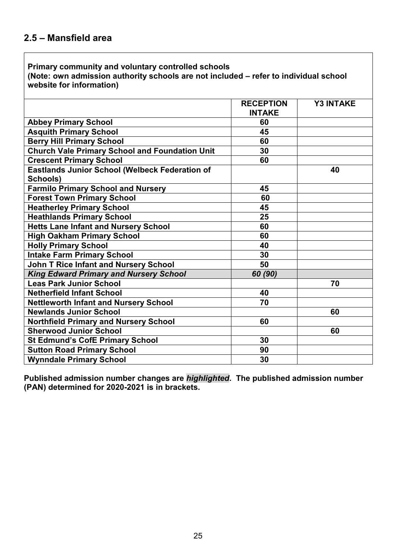**(Note: own admission authority schools are not included – refer to individual school website for information)**

|                                                       | <b>RECEPTION</b> | <b>Y3 INTAKE</b> |
|-------------------------------------------------------|------------------|------------------|
|                                                       | <b>INTAKE</b>    |                  |
| <b>Abbey Primary School</b>                           | 60               |                  |
| <b>Asquith Primary School</b>                         | 45               |                  |
| <b>Berry Hill Primary School</b>                      | 60               |                  |
| <b>Church Vale Primary School and Foundation Unit</b> | 30               |                  |
| <b>Crescent Primary School</b>                        | 60               |                  |
| <b>Eastlands Junior School (Welbeck Federation of</b> |                  | 40               |
| Schools)                                              |                  |                  |
| <b>Farmilo Primary School and Nursery</b>             | 45               |                  |
| <b>Forest Town Primary School</b>                     | 60               |                  |
| <b>Heatherley Primary School</b>                      | 45               |                  |
| <b>Heathlands Primary School</b>                      | 25               |                  |
| <b>Hetts Lane Infant and Nursery School</b>           | 60               |                  |
| <b>High Oakham Primary School</b>                     | 60               |                  |
| <b>Holly Primary School</b>                           | 40               |                  |
| <b>Intake Farm Primary School</b>                     | 30               |                  |
| <b>John T Rice Infant and Nursery School</b>          | 50               |                  |
| <b>King Edward Primary and Nursery School</b>         | 60 (90)          |                  |
| <b>Leas Park Junior School</b>                        |                  | 70               |
| <b>Netherfield Infant School</b>                      | 40               |                  |
| <b>Nettleworth Infant and Nursery School</b>          | 70               |                  |
| <b>Newlands Junior School</b>                         |                  | 60               |
| <b>Northfield Primary and Nursery School</b>          | 60               |                  |
| <b>Sherwood Junior School</b>                         |                  | 60               |
| <b>St Edmund's CofE Primary School</b>                | 30               |                  |
| <b>Sutton Road Primary School</b>                     | 90               |                  |
| <b>Wynndale Primary School</b>                        | 30               |                  |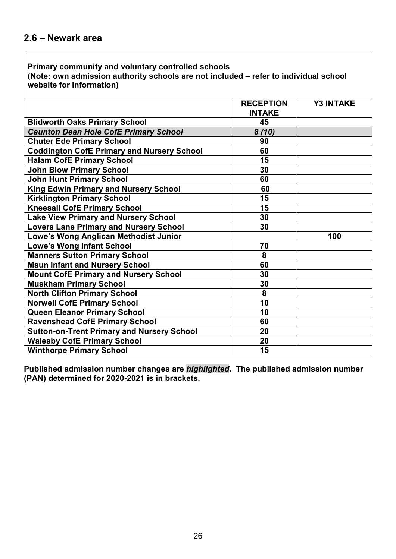**(Note: own admission authority schools are not included – refer to individual school website for information)**

|                                                   | <b>RECEPTION</b><br><b>INTAKE</b> | <b>Y3 INTAKE</b> |
|---------------------------------------------------|-----------------------------------|------------------|
| <b>Blidworth Oaks Primary School</b>              | 45                                |                  |
| <b>Caunton Dean Hole CofE Primary School</b>      | 8(10)                             |                  |
| <b>Chuter Ede Primary School</b>                  | 90                                |                  |
| <b>Coddington CofE Primary and Nursery School</b> | 60                                |                  |
| <b>Halam CofE Primary School</b>                  | 15                                |                  |
| <b>John Blow Primary School</b>                   | 30                                |                  |
| <b>John Hunt Primary School</b>                   | 60                                |                  |
| King Edwin Primary and Nursery School             | 60                                |                  |
| <b>Kirklington Primary School</b>                 | 15                                |                  |
| <b>Kneesall CofE Primary School</b>               | 15                                |                  |
| <b>Lake View Primary and Nursery School</b>       | 30                                |                  |
| <b>Lovers Lane Primary and Nursery School</b>     | 30                                |                  |
| Lowe's Wong Anglican Methodist Junior             |                                   | 100              |
| <b>Lowe's Wong Infant School</b>                  | 70                                |                  |
| <b>Manners Sutton Primary School</b>              | 8                                 |                  |
| <b>Maun Infant and Nursery School</b>             | 60                                |                  |
| <b>Mount CofE Primary and Nursery School</b>      | 30                                |                  |
| <b>Muskham Primary School</b>                     | 30                                |                  |
| <b>North Clifton Primary School</b>               | 8                                 |                  |
| <b>Norwell CofE Primary School</b>                | 10                                |                  |
| <b>Queen Eleanor Primary School</b>               | 10                                |                  |
| <b>Ravenshead CofE Primary School</b>             | 60                                |                  |
| <b>Sutton-on-Trent Primary and Nursery School</b> | 20                                |                  |
| <b>Walesby CofE Primary School</b>                | 20                                |                  |
| <b>Winthorpe Primary School</b>                   | 15                                |                  |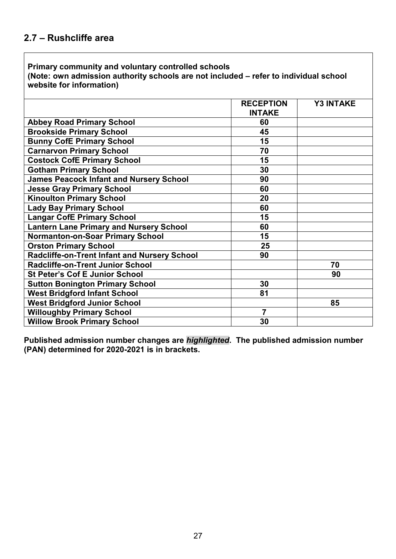**(Note: own admission authority schools are not included – refer to individual school website for information)**

|                                                | <b>RECEPTION</b> | <b>Y3 INTAKE</b> |
|------------------------------------------------|------------------|------------------|
|                                                | <b>INTAKE</b>    |                  |
| <b>Abbey Road Primary School</b>               | 60               |                  |
| <b>Brookside Primary School</b>                | 45               |                  |
| <b>Bunny CofE Primary School</b>               | 15               |                  |
| <b>Carnarvon Primary School</b>                | 70               |                  |
| <b>Costock CofE Primary School</b>             | 15               |                  |
| <b>Gotham Primary School</b>                   | 30               |                  |
| <b>James Peacock Infant and Nursery School</b> | 90               |                  |
| <b>Jesse Gray Primary School</b>               | 60               |                  |
| <b>Kinoulton Primary School</b>                | 20               |                  |
| <b>Lady Bay Primary School</b>                 | 60               |                  |
| <b>Langar CofE Primary School</b>              | 15               |                  |
| <b>Lantern Lane Primary and Nursery School</b> | 60               |                  |
| <b>Normanton-on-Soar Primary School</b>        | 15               |                  |
| <b>Orston Primary School</b>                   | 25               |                  |
| Radcliffe-on-Trent Infant and Nursery School   | 90               |                  |
| <b>Radcliffe-on-Trent Junior School</b>        |                  | 70               |
| <b>St Peter's Cof E Junior School</b>          |                  | 90               |
| <b>Sutton Bonington Primary School</b>         | 30               |                  |
| <b>West Bridgford Infant School</b>            | 81               |                  |
| <b>West Bridgford Junior School</b>            |                  | 85               |
| <b>Willoughby Primary School</b>               | 7                |                  |
| <b>Willow Brook Primary School</b>             | 30               |                  |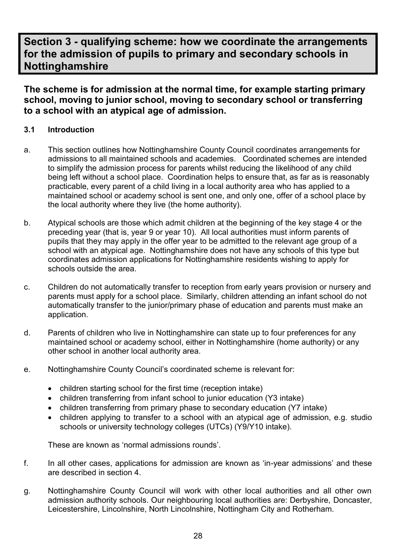# **Section 3 - qualifying scheme: how we coordinate the arrangements for the admission of pupils to primary and secondary schools in Nottinghamshire**

**The scheme is for admission at the normal time, for example starting primary school, moving to junior school, moving to secondary school or transferring to a school with an atypical age of admission.**

## **3.1 Introduction**

- a. This section outlines how Nottinghamshire County Council coordinates arrangements for admissions to all maintained schools and academies. Coordinated schemes are intended to simplify the admission process for parents whilst reducing the likelihood of any child being left without a school place. Coordination helps to ensure that, as far as is reasonably practicable, every parent of a child living in a local authority area who has applied to a maintained school or academy school is sent one, and only one, offer of a school place by the local authority where they live (the home authority).
- b. Atypical schools are those which admit children at the beginning of the key stage 4 or the preceding year (that is, year 9 or year 10). All local authorities must inform parents of pupils that they may apply in the offer year to be admitted to the relevant age group of a school with an atypical age. Nottinghamshire does not have any schools of this type but coordinates admission applications for Nottinghamshire residents wishing to apply for schools outside the area.
- c. Children do not automatically transfer to reception from early years provision or nursery and parents must apply for a school place. Similarly, children attending an infant school do not automatically transfer to the junior/primary phase of education and parents must make an application.
- d. Parents of children who live in Nottinghamshire can state up to four preferences for any maintained school or academy school, either in Nottinghamshire (home authority) or any other school in another local authority area.
- e. Nottinghamshire County Council's coordinated scheme is relevant for:
	- children starting school for the first time (reception intake)
	- children transferring from infant school to junior education (Y3 intake)
	- children transferring from primary phase to secondary education (Y7 intake)
	- children applying to transfer to a school with an atypical age of admission, e.g. studio schools or university technology colleges (UTCs) (Y9/Y10 intake).

These are known as 'normal admissions rounds'.

- f. In all other cases, applications for admission are known as 'in-year admissions' and these are described in section 4.
- g. Nottinghamshire County Council will work with other local authorities and all other own admission authority schools. Our neighbouring local authorities are: Derbyshire, Doncaster, Leicestershire, Lincolnshire, North Lincolnshire, Nottingham City and Rotherham.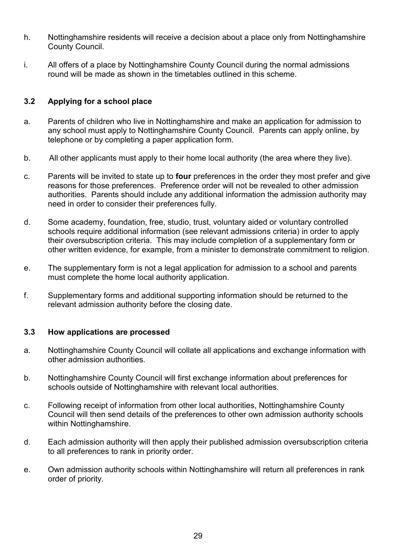- h. Nottinghamshire residents will receive a decision about a place only from Nottinghamshire County Council.
- i. All offers of a place by Nottinghamshire County Council during the normal admissions round will be made as shown in the timetables outlined in this scheme.

## **3.2 Applying for a school place**

- a. Parents of children who live in Nottinghamshire and make an application for admission to any school must apply to Nottinghamshire County Council. Parents can apply online, by telephone or by completing a paper application form.
- b. All other applicants must apply to their home local authority (the area where they live).
- c. Parents will be invited to state up to **four** preferences in the order they most prefer and give reasons for those preferences. Preference order will not be revealed to other admission authorities. Parents should include any additional information the admission authority may need in order to consider their preferences fully.
- d. Some academy, foundation, free, studio, trust, voluntary aided or voluntary controlled schools require additional information (see relevant admissions criteria) in order to apply their oversubscription criteria. This may include completion of a supplementary form or other written evidence, for example, from a minister to demonstrate commitment to religion.
- e. The supplementary form is not a legal application for admission to a school and parents must complete the home local authority application.
- f. Supplementary forms and additional supporting information should be returned to the relevant admission authority before the closing date.

#### **3.3 How applications are processed**

- a. Nottinghamshire County Council will collate all applications and exchange information with other admission authorities.
- b. Nottinghamshire County Council will first exchange information about preferences for schools outside of Nottinghamshire with relevant local authorities.
- c. Following receipt of information from other local authorities, Nottinghamshire County Council will then send details of the preferences to other own admission authority schools within Nottinghamshire.
- d. Each admission authority will then apply their published admission oversubscription criteria to all preferences to rank in priority order.
- e. Own admission authority schools within Nottinghamshire will return all preferences in rank order of priority.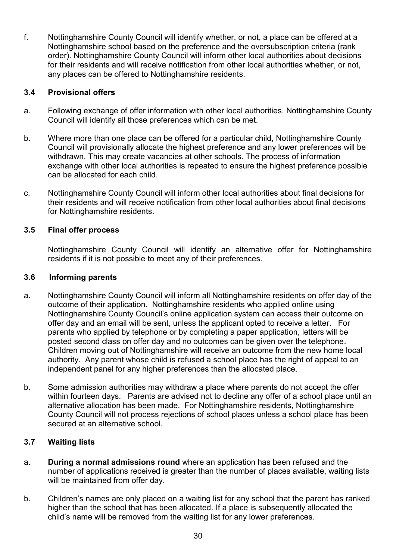f. Nottinghamshire County Council will identify whether, or not, a place can be offered at a Nottinghamshire school based on the preference and the oversubscription criteria (rank order). Nottinghamshire County Council will inform other local authorities about decisions for their residents and will receive notification from other local authorities whether, or not, any places can be offered to Nottinghamshire residents.

#### **3.4 Provisional offers**

- a. Following exchange of offer information with other local authorities, Nottinghamshire County Council will identify all those preferences which can be met.
- b. Where more than one place can be offered for a particular child, Nottinghamshire County Council will provisionally allocate the highest preference and any lower preferences will be withdrawn. This may create vacancies at other schools. The process of information exchange with other local authorities is repeated to ensure the highest preference possible can be allocated for each child.
- c. Nottinghamshire County Council will inform other local authorities about final decisions for their residents and will receive notification from other local authorities about final decisions for Nottinghamshire residents.

#### **3.5 Final offer process**

Nottinghamshire County Council will identify an alternative offer for Nottinghamshire residents if it is not possible to meet any of their preferences.

#### **3.6 Informing parents**

- a. Nottinghamshire County Council will inform all Nottinghamshire residents on offer day of the outcome of their application. Nottinghamshire residents who applied online using Nottinghamshire County Council's online application system can access their outcome on offer day and an email will be sent, unless the applicant opted to receive a letter. For parents who applied by telephone or by completing a paper application, letters will be posted second class on offer day and no outcomes can be given over the telephone. Children moving out of Nottinghamshire will receive an outcome from the new home local authority. Any parent whose child is refused a school place has the right of appeal to an independent panel for any higher preferences than the allocated place.
- b. Some admission authorities may withdraw a place where parents do not accept the offer within fourteen days. Parents are advised not to decline any offer of a school place until an alternative allocation has been made. For Nottinghamshire residents, Nottinghamshire County Council will not process rejections of school places unless a school place has been secured at an alternative school.

#### **3.7 Waiting lists**

- a. **During a normal admissions round** where an application has been refused and the number of applications received is greater than the number of places available, waiting lists will be maintained from offer day.
- b. Children's names are only placed on a waiting list for any school that the parent has ranked higher than the school that has been allocated. If a place is subsequently allocated the child's name will be removed from the waiting list for any lower preferences.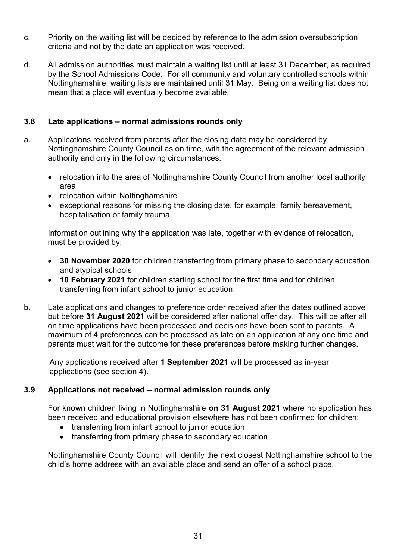- c. Priority on the waiting list will be decided by reference to the admission oversubscription criteria and not by the date an application was received.
- d. All admission authorities must maintain a waiting list until at least 31 December, as required by the School Admissions Code. For all community and voluntary controlled schools within Nottinghamshire, waiting lists are maintained until 31 May. Being on a waiting list does not mean that a place will eventually become available.

#### **3.8 Late applications – normal admissions rounds only**

- a. Applications received from parents after the closing date may be considered by Nottinghamshire County Council as on time, with the agreement of the relevant admission authority and only in the following circumstances:
	- relocation into the area of Nottinghamshire County Council from another local authority area
	- relocation within Nottinghamshire
	- exceptional reasons for missing the closing date, for example, family bereavement, hospitalisation or family trauma.

Information outlining why the application was late, together with evidence of relocation, must be provided by:

- **30 November 2020** for children transferring from primary phase to secondary education and atypical schools
- **10 February 2021** for children starting school for the first time and for children transferring from infant school to junior education.
- b. Late applications and changes to preference order received after the dates outlined above but before **31 August 2021** will be considered after national offer day. This will be after all on time applications have been processed and decisions have been sent to parents. A maximum of 4 preferences can be processed as late on an application at any one time and parents must wait for the outcome for these preferences before making further changes.

Any applications received after **1 September 2021** will be processed as in-year applications (see section 4).

#### **3.9 Applications not received – normal admission rounds only**

For known children living in Nottinghamshire **on 31 August 2021** where no application has been received and educational provision elsewhere has not been confirmed for children:

- transferring from infant school to junior education
- transferring from primary phase to secondary education

Nottinghamshire County Council will identify the next closest Nottinghamshire school to the child's home address with an available place and send an offer of a school place.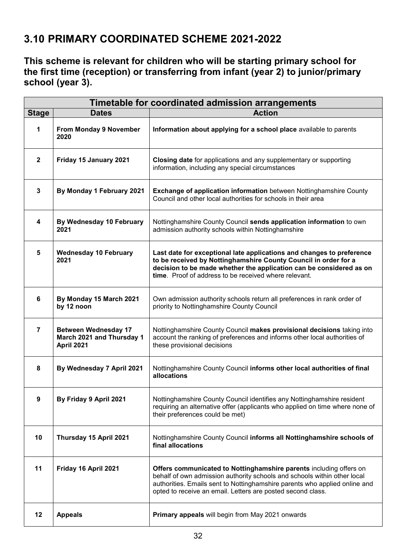# **3.10 PRIMARY COORDINATED SCHEME 2021-2022**

**This scheme is relevant for children who will be starting primary school for the first time (reception) or transferring from infant (year 2) to junior/primary school (year 3).**

| Timetable for coordinated admission arrangements |                                                                        |                                                                                                                                                                                                                                                                                             |
|--------------------------------------------------|------------------------------------------------------------------------|---------------------------------------------------------------------------------------------------------------------------------------------------------------------------------------------------------------------------------------------------------------------------------------------|
| <b>Stage</b>                                     | <b>Dates</b>                                                           | <b>Action</b>                                                                                                                                                                                                                                                                               |
| 1                                                | From Monday 9 November<br>2020                                         | Information about applying for a school place available to parents                                                                                                                                                                                                                          |
| $\mathbf{2}$                                     | Friday 15 January 2021                                                 | Closing date for applications and any supplementary or supporting<br>information, including any special circumstances                                                                                                                                                                       |
| $\mathbf{3}$                                     | By Monday 1 February 2021                                              | <b>Exchange of application information</b> between Nottinghamshire County<br>Council and other local authorities for schools in their area                                                                                                                                                  |
| 4                                                | By Wednesday 10 February<br>2021                                       | Nottinghamshire County Council sends application information to own<br>admission authority schools within Nottinghamshire                                                                                                                                                                   |
| $5\phantom{1}$                                   | <b>Wednesday 10 February</b><br>2021                                   | Last date for exceptional late applications and changes to preference<br>to be received by Nottinghamshire County Council in order for a<br>decision to be made whether the application can be considered as on<br>time. Proof of address to be received where relevant.                    |
| 6                                                | By Monday 15 March 2021<br>by 12 noon                                  | Own admission authority schools return all preferences in rank order of<br>priority to Nottinghamshire County Council                                                                                                                                                                       |
| $\overline{7}$                                   | <b>Between Wednesday 17</b><br>March 2021 and Thursday 1<br>April 2021 | Nottinghamshire County Council makes provisional decisions taking into<br>account the ranking of preferences and informs other local authorities of<br>these provisional decisions                                                                                                          |
| 8                                                | By Wednesday 7 April 2021                                              | Nottinghamshire County Council informs other local authorities of final<br>allocations                                                                                                                                                                                                      |
| 9                                                | By Friday 9 April 2021                                                 | Nottinghamshire County Council identifies any Nottinghamshire resident<br>requiring an alternative offer (applicants who applied on time where none of<br>their preferences could be met)                                                                                                   |
| 10                                               | Thursday 15 April 2021                                                 | Nottinghamshire County Council informs all Nottinghamshire schools of<br>final allocations                                                                                                                                                                                                  |
| 11                                               | Friday 16 April 2021                                                   | Offers communicated to Nottinghamshire parents including offers on<br>behalf of own admission authority schools and schools within other local<br>authorities. Emails sent to Nottinghamshire parents who applied online and<br>opted to receive an email. Letters are posted second class. |
| 12                                               | <b>Appeals</b>                                                         | Primary appeals will begin from May 2021 onwards                                                                                                                                                                                                                                            |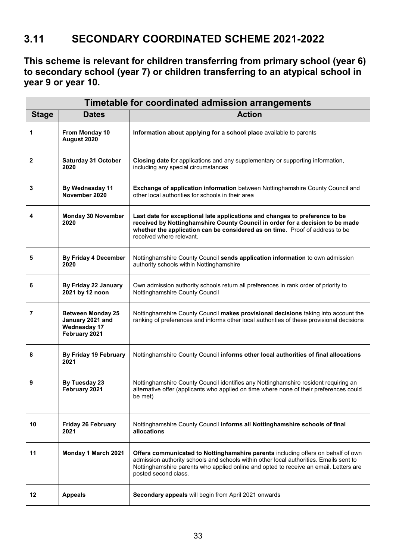# **3.11 SECONDARY COORDINATED SCHEME 2021-2022**

**This scheme is relevant for children transferring from primary school (year 6) to secondary school (year 7) or children transferring to an atypical school in year 9 or year 10.**

| Timetable for coordinated admission arrangements |                                                                                      |                                                                                                                                                                                                                                                                                             |
|--------------------------------------------------|--------------------------------------------------------------------------------------|---------------------------------------------------------------------------------------------------------------------------------------------------------------------------------------------------------------------------------------------------------------------------------------------|
| <b>Stage</b>                                     | <b>Dates</b>                                                                         | <b>Action</b>                                                                                                                                                                                                                                                                               |
| 1                                                | From Monday 10<br>August 2020                                                        | Information about applying for a school place available to parents                                                                                                                                                                                                                          |
| 2                                                | <b>Saturday 31 October</b><br>2020                                                   | Closing date for applications and any supplementary or supporting information,<br>including any special circumstances                                                                                                                                                                       |
| 3                                                | By Wednesday 11<br>November 2020                                                     | Exchange of application information between Nottinghamshire County Council and<br>other local authorities for schools in their area                                                                                                                                                         |
| 4                                                | <b>Monday 30 November</b><br>2020                                                    | Last date for exceptional late applications and changes to preference to be<br>received by Nottinghamshire County Council in order for a decision to be made<br>whether the application can be considered as on time. Proof of address to be<br>received where relevant.                    |
| 5                                                | <b>By Friday 4 December</b><br>2020                                                  | Nottinghamshire County Council sends application information to own admission<br>authority schools within Nottinghamshire                                                                                                                                                                   |
| 6                                                | By Friday 22 January<br>2021 by 12 noon                                              | Own admission authority schools return all preferences in rank order of priority to<br>Nottinghamshire County Council                                                                                                                                                                       |
| 7                                                | <b>Between Monday 25</b><br>January 2021 and<br><b>Wednesday 17</b><br>February 2021 | Nottinghamshire County Council makes provisional decisions taking into account the<br>ranking of preferences and informs other local authorities of these provisional decisions                                                                                                             |
| 8                                                | By Friday 19 February<br>2021                                                        | Nottinghamshire County Council informs other local authorities of final allocations                                                                                                                                                                                                         |
| 9                                                | By Tuesday 23<br>February 2021                                                       | Nottinghamshire County Council identifies any Nottinghamshire resident requiring an<br>alternative offer (applicants who applied on time where none of their preferences could<br>be met)                                                                                                   |
| 10                                               | Friday 26 February<br>2021                                                           | Nottinghamshire County Council informs all Nottinghamshire schools of final<br>allocations                                                                                                                                                                                                  |
| 11                                               | Monday 1 March 2021                                                                  | Offers communicated to Nottinghamshire parents including offers on behalf of own<br>admission authority schools and schools within other local authorities. Emails sent to<br>Nottinghamshire parents who applied online and opted to receive an email. Letters are<br>posted second class. |
| 12                                               | <b>Appeals</b>                                                                       | Secondary appeals will begin from April 2021 onwards                                                                                                                                                                                                                                        |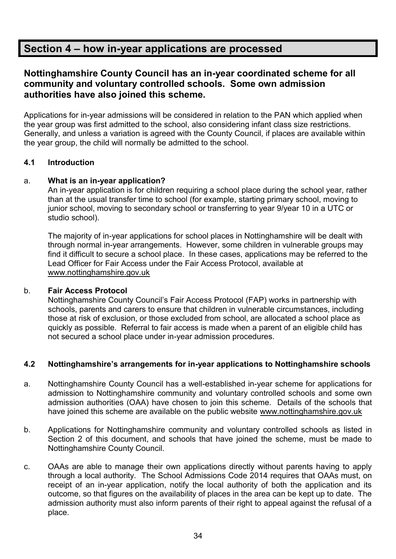# **Section 4 – how in-year applications are processed**

# **Nottinghamshire County Council has an in-year coordinated scheme for all community and voluntary controlled schools. Some own admission authorities have also joined this scheme.**

Applications for in-year admissions will be considered in relation to the PAN which applied when the year group was first admitted to the school, also considering infant class size restrictions. Generally, and unless a variation is agreed with the County Council, if places are available within the year group, the child will normally be admitted to the school.

#### **4.1 Introduction**

#### a. **What is an in-year application?**

An in-year application is for children requiring a school place during the school year, rather than at the usual transfer time to school (for example, starting primary school, moving to junior school, moving to secondary school or transferring to year 9/year 10 in a UTC or studio school).

The majority of in-year applications for school places in Nottinghamshire will be dealt with through normal in-year arrangements. However, some children in vulnerable groups may find it difficult to secure a school place. In these cases, applications may be referred to the Lead Officer for Fair Access under the Fair Access Protocol, available at [www.nottinghamshire.gov.uk](http://www.nottinghamshire.gov.uk/)

#### b. **Fair Access Protocol**

Nottinghamshire County Council's Fair Access Protocol (FAP) works in partnership with schools, parents and carers to ensure that children in vulnerable circumstances, including those at risk of exclusion, or those excluded from school, are allocated a school place as quickly as possible. Referral to fair access is made when a parent of an eligible child has not secured a school place under in-year admission procedures.

#### **4.2 Nottinghamshire's arrangements for in-year applications to Nottinghamshire schools**

- a. Nottinghamshire County Council has a well-established in-year scheme for applications for admission to Nottinghamshire community and voluntary controlled schools and some own admission authorities (OAA) have chosen to join this scheme. Details of the schools that have joined this scheme are available on the public website [www.nottinghamshire.gov.uk](http://www.nottinghamshire.gov.uk/)
- b. Applications for Nottinghamshire community and voluntary controlled schools as listed in Section 2 of this document, and schools that have joined the scheme, must be made to Nottinghamshire County Council.
- c. OAAs are able to manage their own applications directly without parents having to apply through a local authority. The School Admissions Code 2014 requires that OAAs must, on receipt of an in-year application, notify the local authority of both the application and its outcome, so that figures on the availability of places in the area can be kept up to date. The admission authority must also inform parents of their right to appeal against the refusal of a place.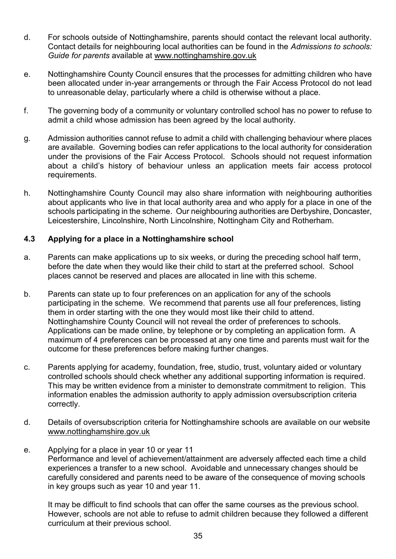- d. For schools outside of Nottinghamshire, parents should contact the relevant local authority. Contact details for neighbouring local authorities can be found in the *Admissions to schools: Guide for parents* available at [www.nottinghamshire.gov.uk](http://www.nottinghamshire.gov.uk/)
- e. Nottinghamshire County Council ensures that the processes for admitting children who have been allocated under in-year arrangements or through the Fair Access Protocol do not lead to unreasonable delay, particularly where a child is otherwise without a place.
- f. The governing body of a community or voluntary controlled school has no power to refuse to admit a child whose admission has been agreed by the local authority.
- g. Admission authorities cannot refuse to admit a child with challenging behaviour where places are available. Governing bodies can refer applications to the local authority for consideration under the provisions of the Fair Access Protocol. Schools should not request information about a child's history of behaviour unless an application meets fair access protocol requirements.
- h. Nottinghamshire County Council may also share information with neighbouring authorities about applicants who live in that local authority area and who apply for a place in one of the schools participating in the scheme. Our neighbouring authorities are Derbyshire, Doncaster, Leicestershire, Lincolnshire, North Lincolnshire, Nottingham City and Rotherham.

#### **4.3 Applying for a place in a Nottinghamshire school**

- a. Parents can make applications up to six weeks, or during the preceding school half term, before the date when they would like their child to start at the preferred school. School places cannot be reserved and places are allocated in line with this scheme.
- b. Parents can state up to four preferences on an application for any of the schools participating in the scheme. We recommend that parents use all four preferences, listing them in order starting with the one they would most like their child to attend. Nottinghamshire County Council will not reveal the order of preferences to schools. Applications can be made online, by telephone or by completing an application form. A maximum of 4 preferences can be processed at any one time and parents must wait for the outcome for these preferences before making further changes.
- c. Parents applying for academy, foundation, free, studio, trust, voluntary aided or voluntary controlled schools should check whether any additional supporting information is required. This may be written evidence from a minister to demonstrate commitment to religion. This information enables the admission authority to apply admission oversubscription criteria correctly.
- d. Details of oversubscription criteria for Nottinghamshire schools are available on our website [www.nottinghamshire.gov.uk](http://www.nottinghamshire.gov.uk/)
- e. Applying for a place in year 10 or year 11 Performance and level of achievement/attainment are adversely affected each time a child experiences a transfer to a new school. Avoidable and unnecessary changes should be carefully considered and parents need to be aware of the consequence of moving schools in key groups such as year 10 and year 11.

It may be difficult to find schools that can offer the same courses as the previous school. However, schools are not able to refuse to admit children because they followed a different curriculum at their previous school.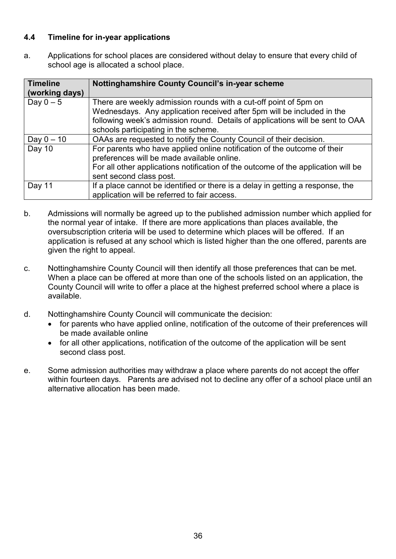#### **4.4 Timeline for in-year applications**

a. Applications for school places are considered without delay to ensure that every child of school age is allocated a school place.

| <b>Timeline</b><br>(working days) | <b>Nottinghamshire County Council's in-year scheme</b>                                                                                                                                                                                                              |
|-----------------------------------|---------------------------------------------------------------------------------------------------------------------------------------------------------------------------------------------------------------------------------------------------------------------|
| Day $0-5$                         | There are weekly admission rounds with a cut-off point of 5pm on<br>Wednesdays. Any application received after 5pm will be included in the<br>following week's admission round. Details of applications will be sent to OAA<br>schools participating in the scheme. |
| Day $0 - 10$                      | OAAs are requested to notify the County Council of their decision.                                                                                                                                                                                                  |
| Day 10                            | For parents who have applied online notification of the outcome of their<br>preferences will be made available online.<br>For all other applications notification of the outcome of the application will be<br>sent second class post.                              |
| Day 11                            | If a place cannot be identified or there is a delay in getting a response, the<br>application will be referred to fair access.                                                                                                                                      |

- b. Admissions will normally be agreed up to the published admission number which applied for the normal year of intake. If there are more applications than places available, the oversubscription criteria will be used to determine which places will be offered. If an application is refused at any school which is listed higher than the one offered, parents are given the right to appeal.
- c. Nottinghamshire County Council will then identify all those preferences that can be met. When a place can be offered at more than one of the schools listed on an application, the County Council will write to offer a place at the highest preferred school where a place is available.
- d. Nottinghamshire County Council will communicate the decision:
	- for parents who have applied online, notification of the outcome of their preferences will be made available online
	- for all other applications, notification of the outcome of the application will be sent second class post.
- e. Some admission authorities may withdraw a place where parents do not accept the offer within fourteen days. Parents are advised not to decline any offer of a school place until an alternative allocation has been made.